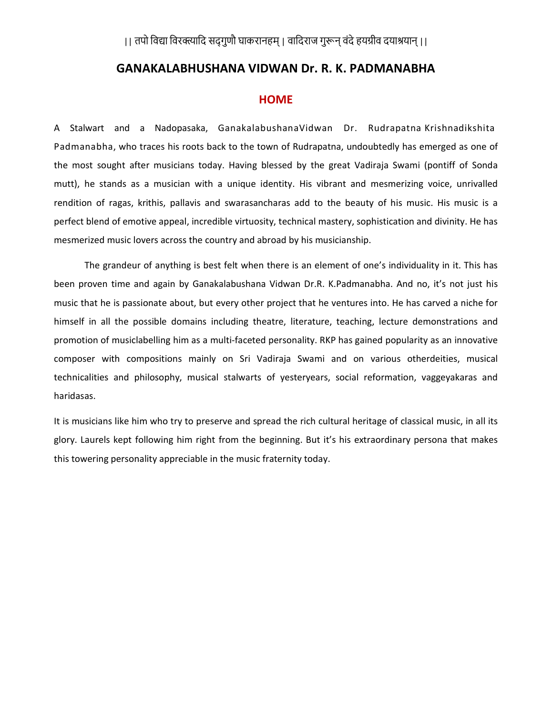# || तपो विद्या विरक्त्यादि सद्गुणौ घाकरानहम् | वादिराज गुरून् वंदे हयग्रीव दयाश्रयान् ||

## GANAKALABHUSHANA VIDWAN Dr. R. K. PADMANABHA

### **HOME**

A Stalwart and a Nadopasaka, GanakalabushanaVidwan Dr. Rudrapatna Krishnadikshita Padmanabha, who traces his roots back to the town of Rudrapatna, undoubtedly has emerged as one of the most sought after musicians today. Having blessed by the great Vadiraja Swami (pontiff of Sonda mutt), he stands as a musician with a unique identity. His vibrant and mesmerizing voice, unrivalled rendition of ragas, krithis, pallavis and swarasancharas add to the beauty of his music. His music is a perfect blend of emotive appeal, incredible virtuosity, technical mastery, sophistication and divinity. He has mesmerized music lovers across the country and abroad by his musicianship.

The grandeur of anything is best felt when there is an element of one's individuality in it. This has been proven time and again by Ganakalabushana Vidwan Dr.R. K.Padmanabha. And no, it's not just his music that he is passionate about, but every other project that he ventures into. He has carved a niche for himself in all the possible domains including theatre, literature, teaching, lecture demonstrations and promotion of musiclabelling him as a multi-faceted personality. RKP has gained popularity as an innovative composer with compositions mainly on Sri Vadiraja Swami and on various otherdeities, musical technicalities and philosophy, musical stalwarts of yesteryears, social reformation, vaggeyakaras and haridasas.

It is musicians like him who try to preserve and spread the rich cultural heritage of classical music, in all its glory. Laurels kept following him right from the beginning. But it's his extraordinary persona that makes this towering personality appreciable in the music fraternity today.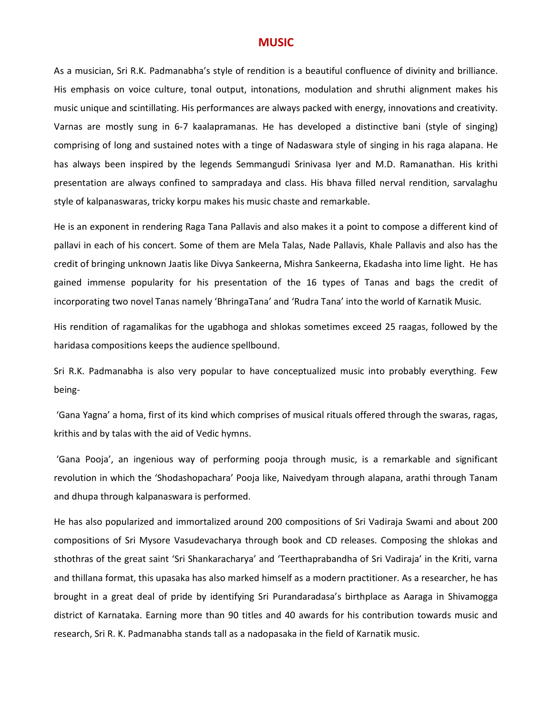## MUSIC

As a musician, Sri R.K. Padmanabha's style of rendition is a beautiful confluence of divinity and brilliance. His emphasis on voice culture, tonal output, intonations, modulation and shruthi alignment makes his music unique and scintillating. His performances are always packed with energy, innovations and creativity. Varnas are mostly sung in 6-7 kaalapramanas. He has developed a distinctive bani (style of singing) comprising of long and sustained notes with a tinge of Nadaswara style of singing in his raga alapana. He has always been inspired by the legends Semmangudi Srinivasa Iyer and M.D. Ramanathan. His krithi presentation are always confined to sampradaya and class. His bhava filled nerval rendition, sarvalaghu style of kalpanaswaras, tricky korpu makes his music chaste and remarkable.

He is an exponent in rendering Raga Tana Pallavis and also makes it a point to compose a different kind of pallavi in each of his concert. Some of them are Mela Talas, Nade Pallavis, Khale Pallavis and also has the credit of bringing unknown Jaatis like Divya Sankeerna, Mishra Sankeerna, Ekadasha into lime light. He has gained immense popularity for his presentation of the 16 types of Tanas and bags the credit of incorporating two novel Tanas namely 'BhringaTana' and 'Rudra Tana' into the world of Karnatik Music.

His rendition of ragamalikas for the ugabhoga and shlokas sometimes exceed 25 raagas, followed by the haridasa compositions keeps the audience spellbound.

Sri R.K. Padmanabha is also very popular to have conceptualized music into probably everything. Few being-

 'Gana Yagna' a homa, first of its kind which comprises of musical rituals offered through the swaras, ragas, krithis and by talas with the aid of Vedic hymns.

 'Gana Pooja', an ingenious way of performing pooja through music, is a remarkable and significant revolution in which the 'Shodashopachara' Pooja like, Naivedyam through alapana, arathi through Tanam and dhupa through kalpanaswara is performed.

He has also popularized and immortalized around 200 compositions of Sri Vadiraja Swami and about 200 compositions of Sri Mysore Vasudevacharya through book and CD releases. Composing the shlokas and sthothras of the great saint 'Sri Shankaracharya' and 'Teerthaprabandha of Sri Vadiraja' in the Kriti, varna and thillana format, this upasaka has also marked himself as a modern practitioner. As a researcher, he has brought in a great deal of pride by identifying Sri Purandaradasa's birthplace as Aaraga in Shivamogga district of Karnataka. Earning more than 90 titles and 40 awards for his contribution towards music and research, Sri R. K. Padmanabha stands tall as a nadopasaka in the field of Karnatik music.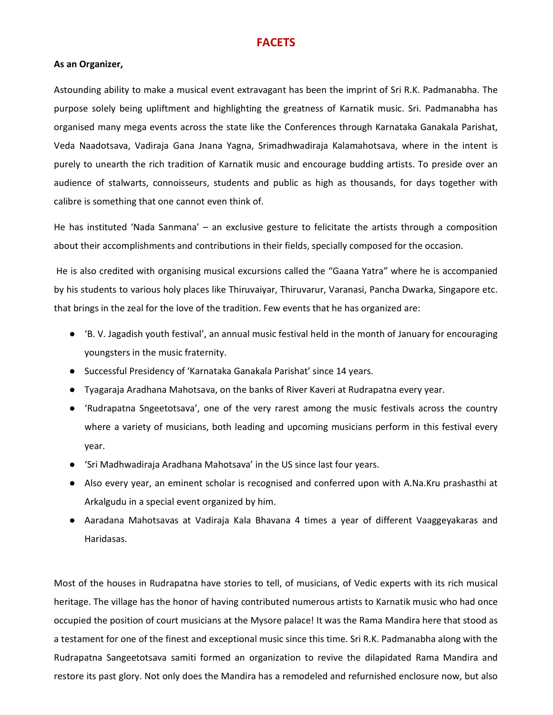## **FACETS**

#### As an Organizer,

Astounding ability to make a musical event extravagant has been the imprint of Sri R.K. Padmanabha. The purpose solely being upliftment and highlighting the greatness of Karnatik music. Sri. Padmanabha has organised many mega events across the state like the Conferences through Karnataka Ganakala Parishat, Veda Naadotsava, Vadiraja Gana Jnana Yagna, Srimadhwadiraja Kalamahotsava, where in the intent is purely to unearth the rich tradition of Karnatik music and encourage budding artists. To preside over an audience of stalwarts, connoisseurs, students and public as high as thousands, for days together with calibre is something that one cannot even think of.

He has instituted 'Nada Sanmana' – an exclusive gesture to felicitate the artists through a composition about their accomplishments and contributions in their fields, specially composed for the occasion.

 He is also credited with organising musical excursions called the "Gaana Yatra" where he is accompanied by his students to various holy places like Thiruvaiyar, Thiruvarur, Varanasi, Pancha Dwarka, Singapore etc. that brings in the zeal for the love of the tradition. Few events that he has organized are:

- 'B. V. Jagadish youth festival', an annual music festival held in the month of January for encouraging youngsters in the music fraternity.
- Successful Presidency of 'Karnataka Ganakala Parishat' since 14 years.
- Tyagaraja Aradhana Mahotsava, on the banks of River Kaveri at Rudrapatna every year.
- 'Rudrapatna Sngeetotsava', one of the very rarest among the music festivals across the country where a variety of musicians, both leading and upcoming musicians perform in this festival every year.
- Sri Madhwadiraja Aradhana Mahotsava' in the US since last four years.
- Also every year, an eminent scholar is recognised and conferred upon with A.Na.Kru prashasthi at Arkalgudu in a special event organized by him.
- Aaradana Mahotsavas at Vadiraja Kala Bhavana 4 times a year of different Vaaggeyakaras and Haridasas.

Most of the houses in Rudrapatna have stories to tell, of musicians, of Vedic experts with its rich musical heritage. The village has the honor of having contributed numerous artists to Karnatik music who had once occupied the position of court musicians at the Mysore palace! It was the Rama Mandira here that stood as a testament for one of the finest and exceptional music since this time. Sri R.K. Padmanabha along with the Rudrapatna Sangeetotsava samiti formed an organization to revive the dilapidated Rama Mandira and restore its past glory. Not only does the Mandira has a remodeled and refurnished enclosure now, but also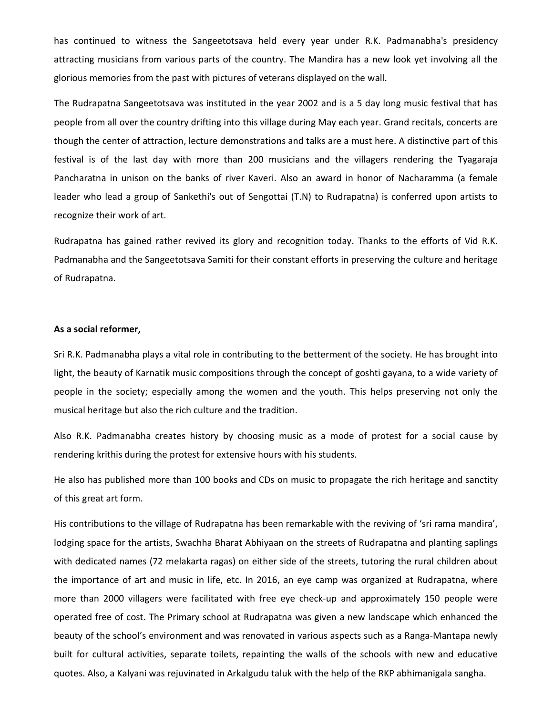has continued to witness the Sangeetotsava held every year under R.K. Padmanabha's presidency attracting musicians from various parts of the country. The Mandira has a new look yet involving all the glorious memories from the past with pictures of veterans displayed on the wall.

The Rudrapatna Sangeetotsava was instituted in the year 2002 and is a 5 day long music festival that has people from all over the country drifting into this village during May each year. Grand recitals, concerts are though the center of attraction, lecture demonstrations and talks are a must here. A distinctive part of this festival is of the last day with more than 200 musicians and the villagers rendering the Tyagaraja Pancharatna in unison on the banks of river Kaveri. Also an award in honor of Nacharamma (a female leader who lead a group of Sankethi's out of Sengottai (T.N) to Rudrapatna) is conferred upon artists to recognize their work of art.

Rudrapatna has gained rather revived its glory and recognition today. Thanks to the efforts of Vid R.K. Padmanabha and the Sangeetotsava Samiti for their constant efforts in preserving the culture and heritage of Rudrapatna.

#### As a social reformer,

Sri R.K. Padmanabha plays a vital role in contributing to the betterment of the society. He has brought into light, the beauty of Karnatik music compositions through the concept of goshti gayana, to a wide variety of people in the society; especially among the women and the youth. This helps preserving not only the musical heritage but also the rich culture and the tradition.

Also R.K. Padmanabha creates history by choosing music as a mode of protest for a social cause by rendering krithis during the protest for extensive hours with his students.

He also has published more than 100 books and CDs on music to propagate the rich heritage and sanctity of this great art form.

His contributions to the village of Rudrapatna has been remarkable with the reviving of 'sri rama mandira', lodging space for the artists, Swachha Bharat Abhiyaan on the streets of Rudrapatna and planting saplings with dedicated names (72 melakarta ragas) on either side of the streets, tutoring the rural children about the importance of art and music in life, etc. In 2016, an eye camp was organized at Rudrapatna, where more than 2000 villagers were facilitated with free eye check-up and approximately 150 people were operated free of cost. The Primary school at Rudrapatna was given a new landscape which enhanced the beauty of the school's environment and was renovated in various aspects such as a Ranga-Mantapa newly built for cultural activities, separate toilets, repainting the walls of the schools with new and educative quotes. Also, a Kalyani was rejuvinated in Arkalgudu taluk with the help of the RKP abhimanigala sangha.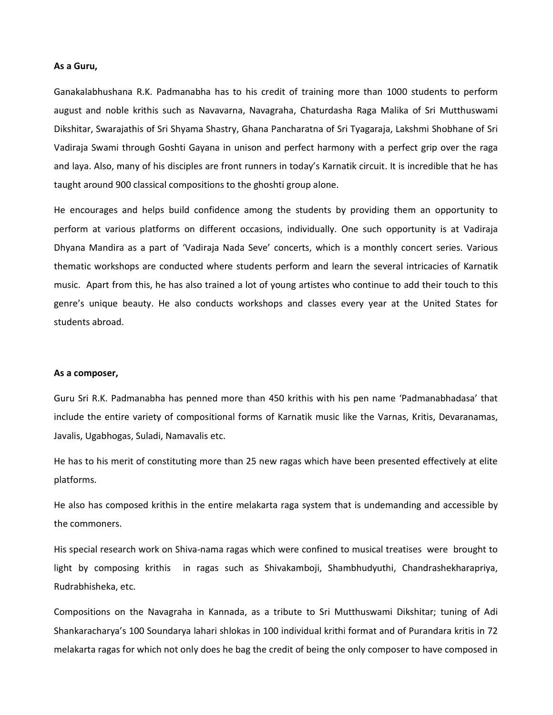#### As a Guru,

Ganakalabhushana R.K. Padmanabha has to his credit of training more than 1000 students to perform august and noble krithis such as Navavarna, Navagraha, Chaturdasha Raga Malika of Sri Mutthuswami Dikshitar, Swarajathis of Sri Shyama Shastry, Ghana Pancharatna of Sri Tyagaraja, Lakshmi Shobhane of Sri Vadiraja Swami through Goshti Gayana in unison and perfect harmony with a perfect grip over the raga and laya. Also, many of his disciples are front runners in today's Karnatik circuit. It is incredible that he has taught around 900 classical compositions to the ghoshti group alone.

He encourages and helps build confidence among the students by providing them an opportunity to perform at various platforms on different occasions, individually. One such opportunity is at Vadiraja Dhyana Mandira as a part of 'Vadiraja Nada Seve' concerts, which is a monthly concert series. Various thematic workshops are conducted where students perform and learn the several intricacies of Karnatik music. Apart from this, he has also trained a lot of young artistes who continue to add their touch to this genre's unique beauty. He also conducts workshops and classes every year at the United States for students abroad.

#### As a composer,

Guru Sri R.K. Padmanabha has penned more than 450 krithis with his pen name 'Padmanabhadasa' that include the entire variety of compositional forms of Karnatik music like the Varnas, Kritis, Devaranamas, Javalis, Ugabhogas, Suladi, Namavalis etc.

He has to his merit of constituting more than 25 new ragas which have been presented effectively at elite platforms.

He also has composed krithis in the entire melakarta raga system that is undemanding and accessible by the commoners.

His special research work on Shiva-nama ragas which were confined to musical treatises were brought to light by composing krithis in ragas such as Shivakamboji, Shambhudyuthi, Chandrashekharapriya, Rudrabhisheka, etc.

Compositions on the Navagraha in Kannada, as a tribute to Sri Mutthuswami Dikshitar; tuning of Adi Shankaracharya's 100 Soundarya lahari shlokas in 100 individual krithi format and of Purandara kritis in 72 melakarta ragas for which not only does he bag the credit of being the only composer to have composed in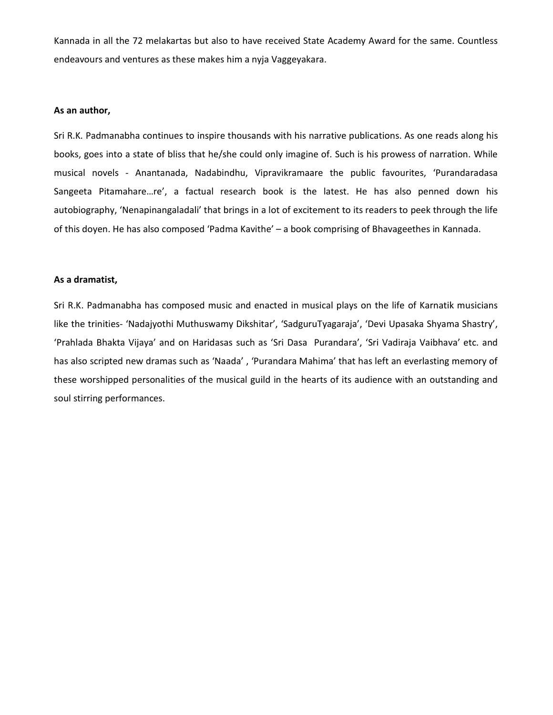Kannada in all the 72 melakartas but also to have received State Academy Award for the same. Countless endeavours and ventures as these makes him a nyja Vaggeyakara.

#### As an author,

Sri R.K. Padmanabha continues to inspire thousands with his narrative publications. As one reads along his books, goes into a state of bliss that he/she could only imagine of. Such is his prowess of narration. While musical novels - Anantanada, Nadabindhu, Vipravikramaare the public favourites, 'Purandaradasa Sangeeta Pitamahare…re', a factual research book is the latest. He has also penned down his autobiography, 'Nenapinangaladali' that brings in a lot of excitement to its readers to peek through the life of this doyen. He has also composed 'Padma Kavithe' – a book comprising of Bhavageethes in Kannada.

#### As a dramatist,

Sri R.K. Padmanabha has composed music and enacted in musical plays on the life of Karnatik musicians like the trinities- 'Nadajyothi Muthuswamy Dikshitar', 'SadguruTyagaraja', 'Devi Upasaka Shyama Shastry', 'Prahlada Bhakta Vijaya' and on Haridasas such as 'Sri Dasa Purandara', 'Sri Vadiraja Vaibhava' etc. and has also scripted new dramas such as 'Naada' , 'Purandara Mahima' that has left an everlasting memory of these worshipped personalities of the musical guild in the hearts of its audience with an outstanding and soul stirring performances.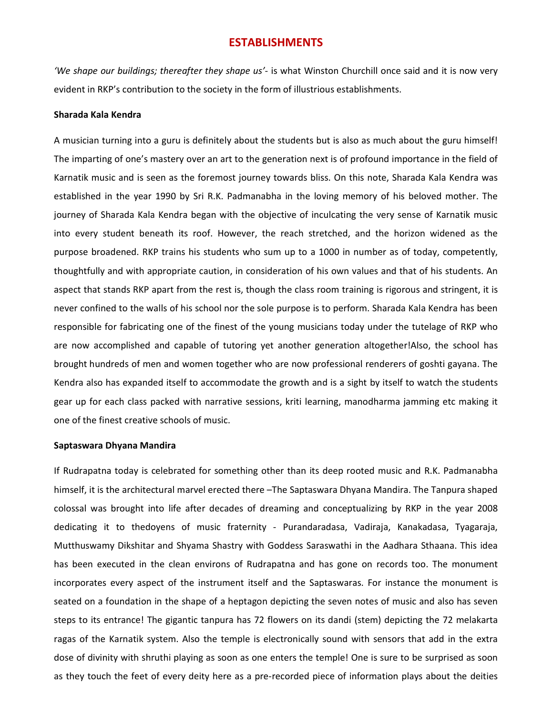## ESTABLISHMENTS

'We shape our buildings; thereafter they shape us'- is what Winston Churchill once said and it is now very evident in RKP's contribution to the society in the form of illustrious establishments.

#### Sharada Kala Kendra

A musician turning into a guru is definitely about the students but is also as much about the guru himself! The imparting of one's mastery over an art to the generation next is of profound importance in the field of Karnatik music and is seen as the foremost journey towards bliss. On this note, Sharada Kala Kendra was established in the year 1990 by Sri R.K. Padmanabha in the loving memory of his beloved mother. The journey of Sharada Kala Kendra began with the objective of inculcating the very sense of Karnatik music into every student beneath its roof. However, the reach stretched, and the horizon widened as the purpose broadened. RKP trains his students who sum up to a 1000 in number as of today, competently, thoughtfully and with appropriate caution, in consideration of his own values and that of his students. An aspect that stands RKP apart from the rest is, though the class room training is rigorous and stringent, it is never confined to the walls of his school nor the sole purpose is to perform. Sharada Kala Kendra has been responsible for fabricating one of the finest of the young musicians today under the tutelage of RKP who are now accomplished and capable of tutoring yet another generation altogether!Also, the school has brought hundreds of men and women together who are now professional renderers of goshti gayana. The Kendra also has expanded itself to accommodate the growth and is a sight by itself to watch the students gear up for each class packed with narrative sessions, kriti learning, manodharma jamming etc making it one of the finest creative schools of music.

#### Saptaswara Dhyana Mandira

If Rudrapatna today is celebrated for something other than its deep rooted music and R.K. Padmanabha himself, it is the architectural marvel erected there –The Saptaswara Dhyana Mandira. The Tanpura shaped colossal was brought into life after decades of dreaming and conceptualizing by RKP in the year 2008 dedicating it to thedoyens of music fraternity - Purandaradasa, Vadiraja, Kanakadasa, Tyagaraja, Mutthuswamy Dikshitar and Shyama Shastry with Goddess Saraswathi in the Aadhara Sthaana. This idea has been executed in the clean environs of Rudrapatna and has gone on records too. The monument incorporates every aspect of the instrument itself and the Saptaswaras. For instance the monument is seated on a foundation in the shape of a heptagon depicting the seven notes of music and also has seven steps to its entrance! The gigantic tanpura has 72 flowers on its dandi (stem) depicting the 72 melakarta ragas of the Karnatik system. Also the temple is electronically sound with sensors that add in the extra dose of divinity with shruthi playing as soon as one enters the temple! One is sure to be surprised as soon as they touch the feet of every deity here as a pre-recorded piece of information plays about the deities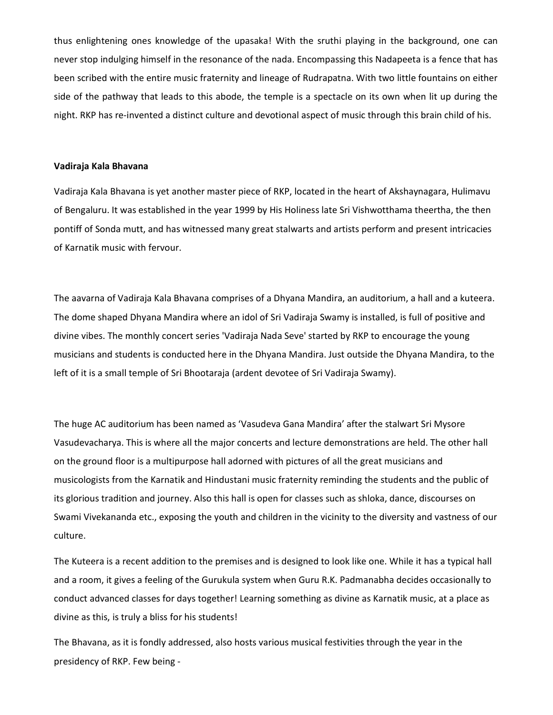thus enlightening ones knowledge of the upasaka! With the sruthi playing in the background, one can never stop indulging himself in the resonance of the nada. Encompassing this Nadapeeta is a fence that has been scribed with the entire music fraternity and lineage of Rudrapatna. With two little fountains on either side of the pathway that leads to this abode, the temple is a spectacle on its own when lit up during the night. RKP has re-invented a distinct culture and devotional aspect of music through this brain child of his.

#### Vadiraja Kala Bhavana

Vadiraja Kala Bhavana is yet another master piece of RKP, located in the heart of Akshaynagara, Hulimavu of Bengaluru. It was established in the year 1999 by His Holiness late Sri Vishwotthama theertha, the then pontiff of Sonda mutt, and has witnessed many great stalwarts and artists perform and present intricacies of Karnatik music with fervour.

The aavarna of Vadiraja Kala Bhavana comprises of a Dhyana Mandira, an auditorium, a hall and a kuteera. The dome shaped Dhyana Mandira where an idol of Sri Vadiraja Swamy is installed, is full of positive and divine vibes. The monthly concert series 'Vadiraja Nada Seve' started by RKP to encourage the young musicians and students is conducted here in the Dhyana Mandira. Just outside the Dhyana Mandira, to the left of it is a small temple of Sri Bhootaraja (ardent devotee of Sri Vadiraja Swamy).

The huge AC auditorium has been named as 'Vasudeva Gana Mandira' after the stalwart Sri Mysore Vasudevacharya. This is where all the major concerts and lecture demonstrations are held. The other hall on the ground floor is a multipurpose hall adorned with pictures of all the great musicians and musicologists from the Karnatik and Hindustani music fraternity reminding the students and the public of its glorious tradition and journey. Also this hall is open for classes such as shloka, dance, discourses on Swami Vivekananda etc., exposing the youth and children in the vicinity to the diversity and vastness of our culture.

The Kuteera is a recent addition to the premises and is designed to look like one. While it has a typical hall and a room, it gives a feeling of the Gurukula system when Guru R.K. Padmanabha decides occasionally to conduct advanced classes for days together! Learning something as divine as Karnatik music, at a place as divine as this, is truly a bliss for his students!

The Bhavana, as it is fondly addressed, also hosts various musical festivities through the year in the presidency of RKP. Few being -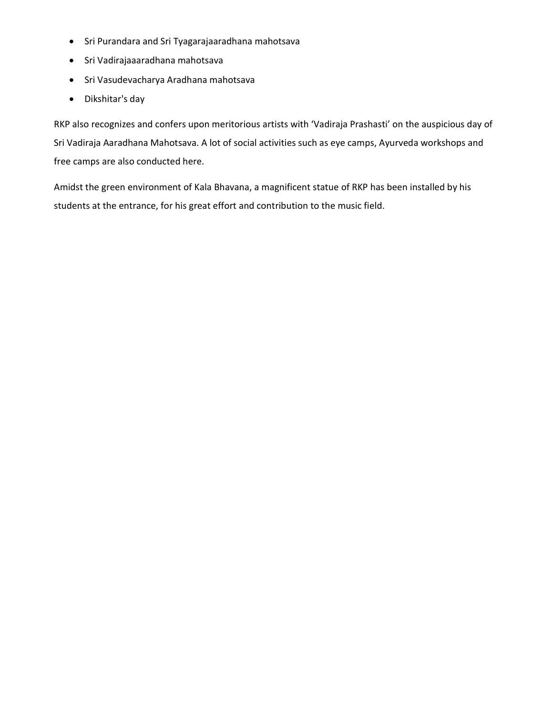- Sri Purandara and Sri Tyagarajaaradhana mahotsava
- Sri Vadirajaaaradhana mahotsava
- Sri Vasudevacharya Aradhana mahotsava
- Dikshitar's day

RKP also recognizes and confers upon meritorious artists with 'Vadiraja Prashasti' on the auspicious day of Sri Vadiraja Aaradhana Mahotsava. A lot of social activities such as eye camps, Ayurveda workshops and free camps are also conducted here.

Amidst the green environment of Kala Bhavana, a magnificent statue of RKP has been installed by his students at the entrance, for his great effort and contribution to the music field.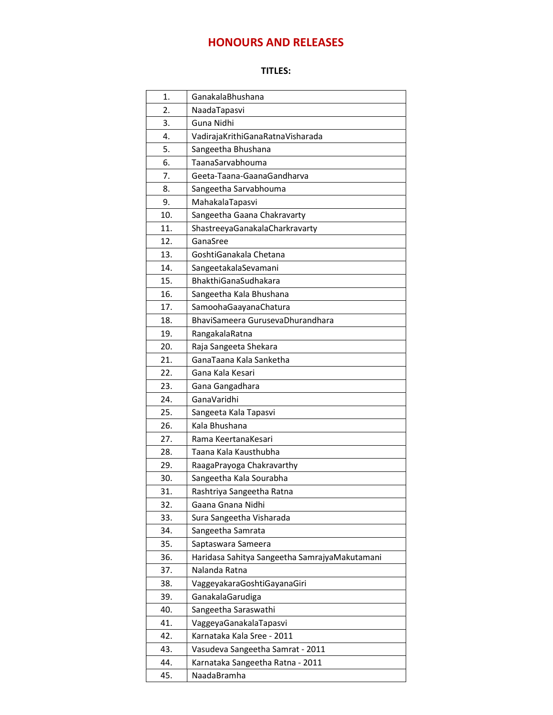# HONOURS AND RELEASES

## TITLES:

| 1.  | GanakalaBhushana                              |
|-----|-----------------------------------------------|
| 2.  | NaadaTapasvi                                  |
| 3.  | Guna Nidhi                                    |
| 4.  | VadirajaKrithiGanaRatnaVisharada              |
| 5.  | Sangeetha Bhushana                            |
| 6.  | TaanaSarvabhouma                              |
| 7.  | Geeta-Taana-GaanaGandharva                    |
| 8.  | Sangeetha Sarvabhouma                         |
| 9.  | MahakalaTapasvi                               |
| 10. | Sangeetha Gaana Chakravarty                   |
| 11. | ShastreeyaGanakalaCharkravarty                |
| 12. | GanaSree                                      |
| 13. | GoshtiGanakala Chetana                        |
| 14. | SangeetakalaSevamani                          |
| 15. | BhakthiGanaSudhakara                          |
| 16. | Sangeetha Kala Bhushana                       |
| 17. | SamoohaGaayanaChatura                         |
| 18. | BhaviSameera GurusevaDhurandhara              |
| 19. | RangakalaRatna                                |
| 20. | Raja Sangeeta Shekara                         |
| 21. | GanaTaana Kala Sanketha                       |
| 22. | Gana Kala Kesari                              |
| 23. | Gana Gangadhara                               |
| 24. | GanaVaridhi                                   |
| 25. | Sangeeta Kala Tapasvi                         |
| 26. | Kala Bhushana                                 |
| 27. | Rama KeertanaKesari                           |
| 28. | Taana Kala Kausthubha                         |
| 29. | RaagaPrayoga Chakravarthy                     |
| 30. | Sangeetha Kala Sourabha                       |
| 31. | Rashtriya Sangeetha Ratna                     |
| 32. | Gaana Gnana Nidhi                             |
| 33. | Sura Sangeetha Visharada                      |
| 34. | Sangeetha Samrata                             |
| 35. | Saptaswara Sameera                            |
| 36. | Haridasa Sahitya Sangeetha SamrajyaMakutamani |
| 37. | Nalanda Ratna                                 |
| 38. | VaggeyakaraGoshtiGayanaGiri                   |
| 39. | GanakalaGarudiga                              |
| 40. | Sangeetha Saraswathi                          |
| 41. | VaggeyaGanakalaTapasvi                        |
| 42. | Karnataka Kala Sree - 2011                    |
| 43. | Vasudeva Sangeetha Samrat - 2011              |
| 44. | Karnataka Sangeetha Ratna - 2011              |
| 45. | NaadaBramha                                   |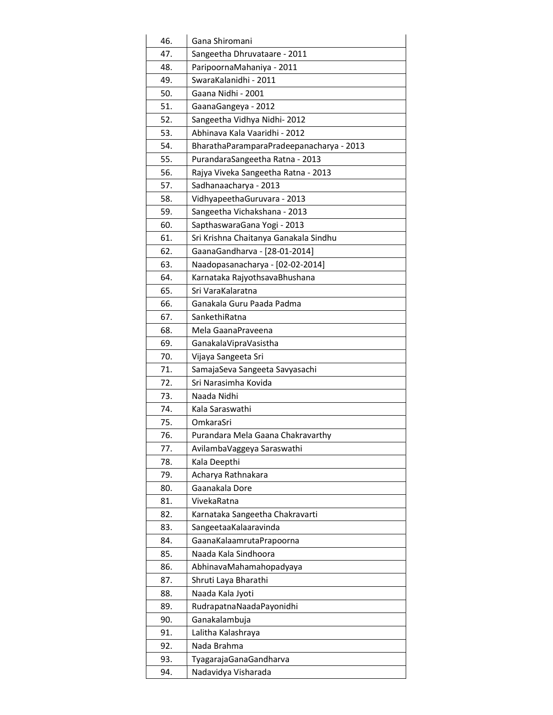| 46. | Gana Shiromani                           |
|-----|------------------------------------------|
| 47. | Sangeetha Dhruvataare - 2011             |
| 48. | ParipoornaMahaniya - 2011                |
| 49. | SwaraKalanidhi - 2011                    |
| 50. | Gaana Nidhi - 2001                       |
| 51. | GaanaGangeya - 2012                      |
| 52. | Sangeetha Vidhya Nidhi-2012              |
| 53. | Abhinava Kala Vaaridhi - 2012            |
| 54. | BharathaParamparaPradeepanacharya - 2013 |
| 55. | PurandaraSangeetha Ratna - 2013          |
| 56. | Rajya Viveka Sangeetha Ratna - 2013      |
| 57. | Sadhanaacharya - 2013                    |
| 58. | VidhyapeethaGuruvara - 2013              |
| 59. | Sangeetha Vichakshana - 2013             |
| 60. | SapthaswaraGana Yogi - 2013              |
| 61. | Sri Krishna Chaitanya Ganakala Sindhu    |
| 62. | GaanaGandharva - [28-01-2014]            |
| 63. | Naadopasanacharya - [02-02-2014]         |
| 64. | Karnataka RajyothsavaBhushana            |
| 65. | Sri VaraKalaratna                        |
| 66. | Ganakala Guru Paada Padma                |
| 67. | SankethiRatna                            |
| 68. | Mela GaanaPraveena                       |
| 69. | Ganakala Vipra Vasistha                  |
| 70. | Vijaya Sangeeta Sri                      |
| 71. | SamajaSeva Sangeeta Savyasachi           |
| 72. | Sri Narasimha Kovida                     |
| 73. | Naada Nidhi                              |
| 74. | Kala Saraswathi                          |
| 75. | OmkaraSri                                |
| 76. | Purandara Mela Gaana Chakravarthy        |
| 77. | AvilambaVaggeya Saraswathi               |
| 78. | Kala Deepthi                             |
| 79. | Acharya Rathnakara                       |
| 80. | Gaanakala Dore                           |
| 81. | VivekaRatna                              |
| 82. | Karnataka Sangeetha Chakravarti          |
| 83. | SangeetaaKalaaravinda                    |
| 84. | GaanaKalaamrutaPrapoorna                 |
| 85. | Naada Kala Sindhoora                     |
| 86. | AbhinavaMahamahopadyaya                  |
| 87. | Shruti Laya Bharathi                     |
| 88. | Naada Kala Jyoti                         |
| 89. | RudrapatnaNaadaPayonidhi                 |
| 90. | Ganakalambuja                            |
| 91. | Lalitha Kalashraya                       |
| 92. | Nada Brahma                              |
| 93. | TyagarajaGanaGandharva                   |
| 94. | Nadavidya Visharada                      |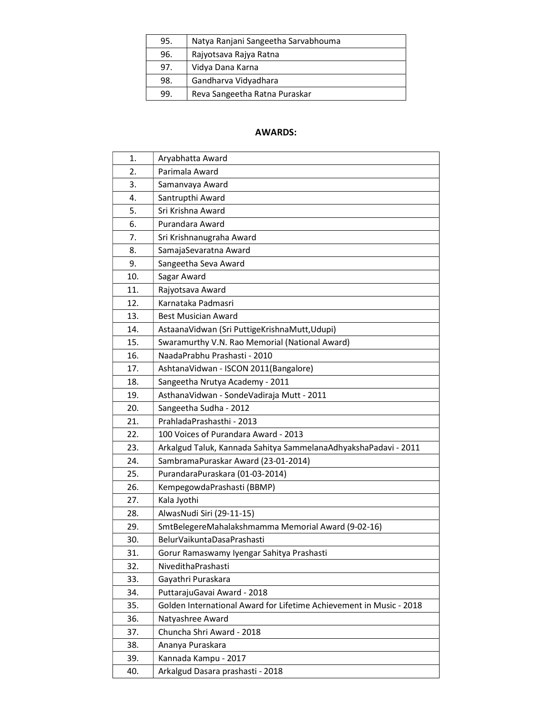| 95. | Natya Ranjani Sangeetha Sarvabhouma |
|-----|-------------------------------------|
| 96. | Rajyotsava Rajya Ratna              |
| 97. | Vidya Dana Karna                    |
| 98. | Gandharva Vidyadhara                |
| 99. | Reva Sangeetha Ratna Puraskar       |

## AWARDS:

| 1.  | Aryabhatta Award                                                    |
|-----|---------------------------------------------------------------------|
| 2.  | Parimala Award                                                      |
| 3.  | Samanvaya Award                                                     |
| 4.  | Santrupthi Award                                                    |
| 5.  | Sri Krishna Award                                                   |
| 6.  | Purandara Award                                                     |
| 7.  | Sri Krishnanugraha Award                                            |
| 8.  | SamajaSevaratna Award                                               |
| 9.  | Sangeetha Seva Award                                                |
| 10. | Sagar Award                                                         |
| 11. | Rajyotsava Award                                                    |
| 12. | Karnataka Padmasri                                                  |
| 13. | <b>Best Musician Award</b>                                          |
| 14. | AstaanaVidwan (Sri PuttigeKrishnaMutt,Udupi)                        |
| 15. | Swaramurthy V.N. Rao Memorial (National Award)                      |
| 16. | NaadaPrabhu Prashasti - 2010                                        |
| 17. | AshtanaVidwan - ISCON 2011(Bangalore)                               |
| 18. | Sangeetha Nrutya Academy - 2011                                     |
| 19. | AsthanaVidwan - SondeVadiraja Mutt - 2011                           |
| 20. | Sangeetha Sudha - 2012                                              |
| 21. | PrahladaPrashasthi - 2013                                           |
| 22. | 100 Voices of Purandara Award - 2013                                |
| 23. | Arkalgud Taluk, Kannada Sahitya SammelanaAdhyakshaPadavi - 2011     |
| 24. | SambramaPuraskar Award (23-01-2014)                                 |
| 25. | PurandaraPuraskara (01-03-2014)                                     |
| 26. | KempegowdaPrashasti (BBMP)                                          |
| 27. | Kala Jyothi                                                         |
| 28. | AlwasNudi Siri (29-11-15)                                           |
| 29. | SmtBelegereMahalakshmamma Memorial Award (9-02-16)                  |
| 30. | BelurVaikuntaDasaPrashasti                                          |
| 31. | Gorur Ramaswamy Iyengar Sahitya Prashasti                           |
| 32. | NivedithaPrashasti                                                  |
| 33. | Gayathri Puraskara                                                  |
| 34. | PuttarajuGavai Award - 2018                                         |
| 35. | Golden International Award for Lifetime Achievement in Music - 2018 |
| 36. | Natyashree Award                                                    |
| 37. | Chuncha Shri Award - 2018                                           |
| 38. | Ananya Puraskara                                                    |
| 39. | Kannada Kampu - 2017                                                |
| 40. | Arkalgud Dasara prashasti - 2018                                    |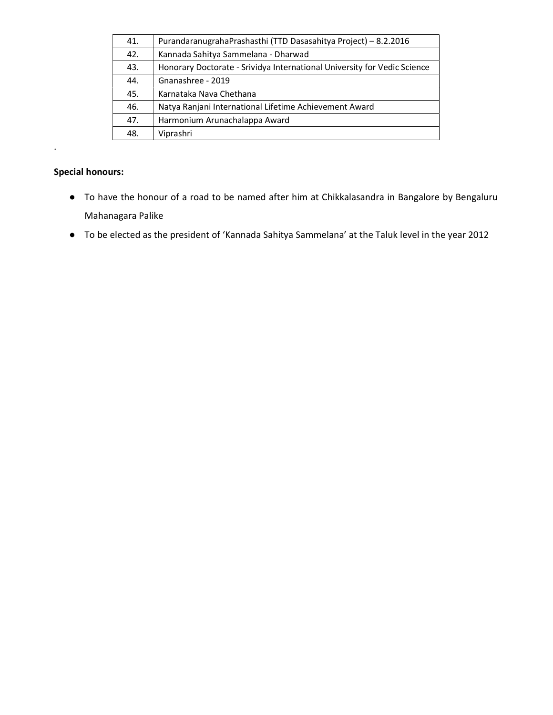| 41. | PurandaranugrahaPrashasthi (TTD Dasasahitya Project) - 8.2.2016          |
|-----|--------------------------------------------------------------------------|
| 42. | Kannada Sahitya Sammelana - Dharwad                                      |
| 43. | Honorary Doctorate - Srividya International University for Vedic Science |
| 44. | Gnanashree - 2019                                                        |
| 45. | Karnataka Nava Chethana                                                  |
| 46. | Natya Ranjani International Lifetime Achievement Award                   |
| 47. | Harmonium Arunachalappa Award                                            |
| 48. | Viprashri                                                                |

## Special honours:

.

- To have the honour of a road to be named after him at Chikkalasandra in Bangalore by Bengaluru Mahanagara Palike
- To be elected as the president of 'Kannada Sahitya Sammelana' at the Taluk level in the year 2012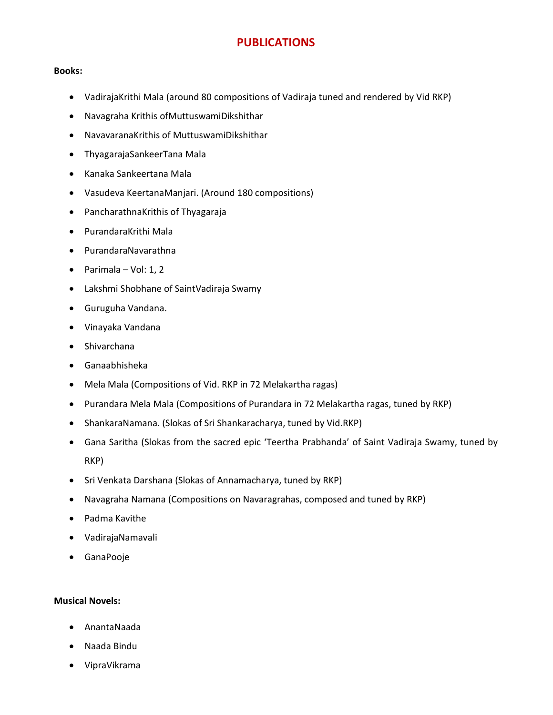## PUBLICATIONS

## Books:

- VadirajaKrithi Mala (around 80 compositions of Vadiraja tuned and rendered by Vid RKP)
- Navagraha Krithis ofMuttuswamiDikshithar
- NavavaranaKrithis of MuttuswamiDikshithar
- ThyagarajaSankeerTana Mala
- Kanaka Sankeertana Mala
- Vasudeva KeertanaManjari. (Around 180 compositions)
- PancharathnaKrithis of Thyagaraja
- PurandaraKrithi Mala
- PurandaraNavarathna
- $\bullet$  Parimala Vol: 1, 2
- Lakshmi Shobhane of SaintVadiraja Swamy
- Guruguha Vandana.
- Vinayaka Vandana
- Shivarchana
- Ganaabhisheka
- Mela Mala (Compositions of Vid. RKP in 72 Melakartha ragas)
- Purandara Mela Mala (Compositions of Purandara in 72 Melakartha ragas, tuned by RKP)
- ShankaraNamana. (Slokas of Sri Shankaracharya, tuned by Vid.RKP)
- Gana Saritha (Slokas from the sacred epic 'Teertha Prabhanda' of Saint Vadiraja Swamy, tuned by RKP)
- Sri Venkata Darshana (Slokas of Annamacharya, tuned by RKP)
- Navagraha Namana (Compositions on Navaragrahas, composed and tuned by RKP)
- Padma Kavithe
- VadirajaNamavali
- GanaPooje

## Musical Novels:

- AnantaNaada
- Naada Bindu
- VipraVikrama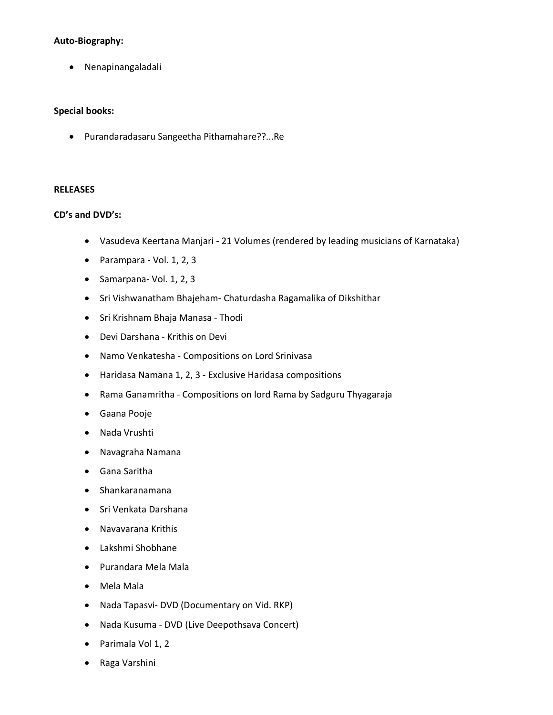## Auto-Biography:

Nenapinangaladali

## Special books:

Purandaradasaru Sangeetha Pithamahare??...Re

### RELEASES

## CD's and DVD's:

- Vasudeva Keertana Manjari 21 Volumes (rendered by leading musicians of Karnataka)
- Parampara Vol. 1, 2, 3
- $\bullet$  Samarpana- Vol. 1, 2, 3
- Sri Vishwanatham Bhajeham- Chaturdasha Ragamalika of Dikshithar
- Sri Krishnam Bhaja Manasa Thodi
- Devi Darshana Krithis on Devi
- Namo Venkatesha Compositions on Lord Srinivasa
- Haridasa Namana 1, 2, 3 Exclusive Haridasa compositions
- Rama Ganamritha Compositions on lord Rama by Sadguru Thyagaraja
- Gaana Pooje
- Nada Vrushti
- Navagraha Namana
- Gana Saritha
- Shankaranamana
- Sri Venkata Darshana
- Navavarana Krithis
- Lakshmi Shobhane
- Purandara Mela Mala
- Mela Mala
- Nada Tapasvi- DVD (Documentary on Vid. RKP)
- Nada Kusuma DVD (Live Deepothsava Concert)
- Parimala Vol 1, 2
- Raga Varshini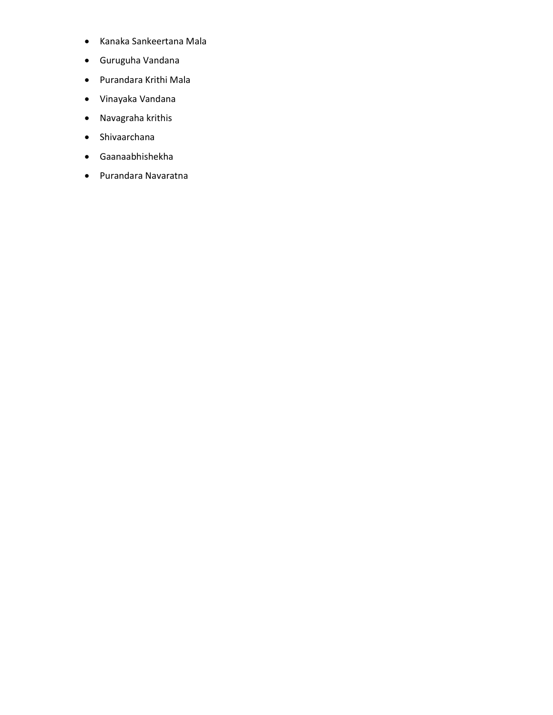- Kanaka Sankeertana Mala
- Guruguha Vandana
- Purandara Krithi Mala
- Vinayaka Vandana
- Navagraha krithis
- Shivaarchana
- Gaanaabhishekha
- Purandara Navaratna